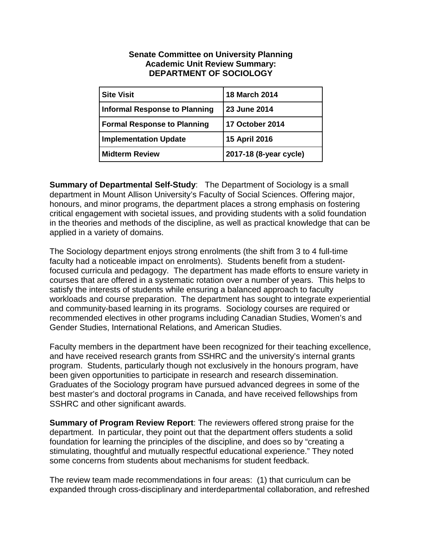## **Senate Committee on University Planning Academic Unit Review Summary: DEPARTMENT OF SOCIOLOGY**

| <b>Site Visit</b>                    | <b>18 March 2014</b>   |
|--------------------------------------|------------------------|
| <b>Informal Response to Planning</b> | <b>23 June 2014</b>    |
| <b>Formal Response to Planning</b>   | <b>17 October 2014</b> |
| <b>Implementation Update</b>         | 15 April 2016          |
| <b>Midterm Review</b>                | 2017-18 (8-year cycle) |

**Summary of Departmental Self-Study**: The Department of Sociology is a small department in Mount Allison University's Faculty of Social Sciences. Offering major, honours, and minor programs, the department places a strong emphasis on fostering critical engagement with societal issues, and providing students with a solid foundation in the theories and methods of the discipline, as well as practical knowledge that can be applied in a variety of domains.

The Sociology department enjoys strong enrolments (the shift from 3 to 4 full-time faculty had a noticeable impact on enrolments). Students benefit from a studentfocused curricula and pedagogy. The department has made efforts to ensure variety in courses that are offered in a systematic rotation over a number of years. This helps to satisfy the interests of students while ensuring a balanced approach to faculty workloads and course preparation. The department has sought to integrate experiential and community-based learning in its programs. Sociology courses are required or recommended electives in other programs including Canadian Studies, Women's and Gender Studies, International Relations, and American Studies.

Faculty members in the department have been recognized for their teaching excellence, and have received research grants from SSHRC and the university's internal grants program. Students, particularly though not exclusively in the honours program, have been given opportunities to participate in research and research dissemination. Graduates of the Sociology program have pursued advanced degrees in some of the best master's and doctoral programs in Canada, and have received fellowships from SSHRC and other significant awards.

**Summary of Program Review Report**: The reviewers offered strong praise for the department. In particular, they point out that the department offers students a solid foundation for learning the principles of the discipline, and does so by "creating a stimulating, thoughtful and mutually respectful educational experience." They noted some concerns from students about mechanisms for student feedback.

The review team made recommendations in four areas: (1) that curriculum can be expanded through cross-disciplinary and interdepartmental collaboration, and refreshed